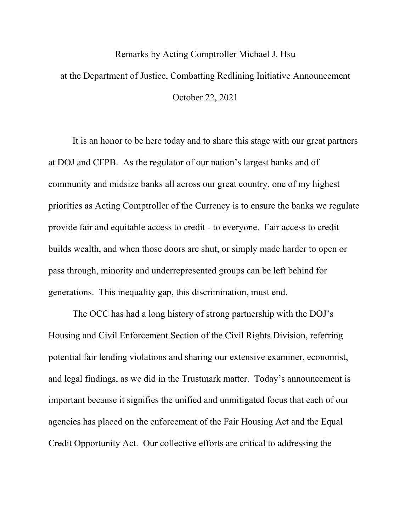## Remarks by Acting Comptroller Michael J. Hsu at the Department of Justice, Combatting Redlining Initiative Announcement October 22, 2021

It is an honor to be here today and to share this stage with our great partners at DOJ and CFPB. As the regulator of our nation's largest banks and of community and midsize banks all across our great country, one of my highest priorities as Acting Comptroller of the Currency is to ensure the banks we regulate provide fair and equitable access to credit - to everyone. Fair access to credit builds wealth, and when those doors are shut, or simply made harder to open or pass through, minority and underrepresented groups can be left behind for generations. This inequality gap, this discrimination, must end.

The OCC has had a long history of strong partnership with the DOJ's Housing and Civil Enforcement Section of the Civil Rights Division, referring potential fair lending violations and sharing our extensive examiner, economist, and legal findings, as we did in the Trustmark matter. Today's announcement is important because it signifies the unified and unmitigated focus that each of our agencies has placed on the enforcement of the Fair Housing Act and the Equal Credit Opportunity Act. Our collective efforts are critical to addressing the